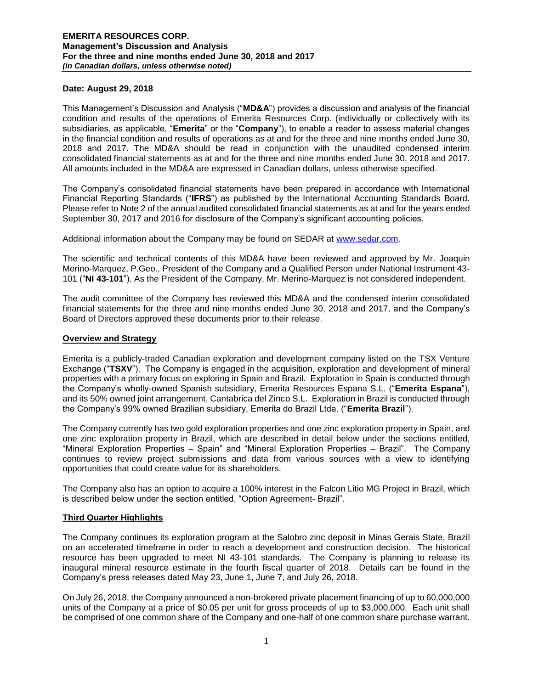#### **Date: August 29, 2018**

This Management's Discussion and Analysis ("**MD&A**") provides a discussion and analysis of the financial condition and results of the operations of Emerita Resources Corp. (individually or collectively with its subsidiaries, as applicable, "**Emerita**" or the "**Company**"), to enable a reader to assess material changes in the financial condition and results of operations as at and for the three and nine months ended June 30, 2018 and 2017. The MD&A should be read in conjunction with the unaudited condensed interim consolidated financial statements as at and for the three and nine months ended June 30, 2018 and 2017. All amounts included in the MD&A are expressed in Canadian dollars, unless otherwise specified.

The Company's consolidated financial statements have been prepared in accordance with International Financial Reporting Standards ("**IFRS**") as published by the International Accounting Standards Board. Please refer to Note 2 of the annual audited consolidated financial statements as at and for the years ended September 30, 2017 and 2016 for disclosure of the Company's significant accounting policies.

Additional information about the Company may be found on SEDAR at [www.sedar.com.](http://www.sedar.com/)

The scientific and technical contents of this MD&A have been reviewed and approved by Mr. Joaquin Merino-Marquez, P.Geo., President of the Company and a Qualified Person under National Instrument 43- 101 ("**NI 43-101**"). As the President of the Company, Mr. Merino-Marquez is not considered independent.

The audit committee of the Company has reviewed this MD&A and the condensed interim consolidated financial statements for the three and nine months ended June 30, 2018 and 2017, and the Company's Board of Directors approved these documents prior to their release.

#### **Overview and Strategy**

Emerita is a publicly-traded Canadian exploration and development company listed on the TSX Venture Exchange ("**TSXV**"). The Company is engaged in the acquisition, exploration and development of mineral properties with a primary focus on exploring in Spain and Brazil. Exploration in Spain is conducted through the Company's wholly-owned Spanish subsidiary, Emerita Resources Espana S.L. ("**Emerita Espana**"), and its 50% owned joint arrangement, Cantabrica del Zinco S.L. Exploration in Brazil is conducted through the Company's 99% owned Brazilian subsidiary, Emerita do Brazil Ltda. ("**Emerita Brazil**").

The Company currently has two gold exploration properties and one zinc exploration property in Spain, and one zinc exploration property in Brazil, which are described in detail below under the sections entitled, "Mineral Exploration Properties – Spain" and "Mineral Exploration Properties – Brazil". The Company continues to review project submissions and data from various sources with a view to identifying opportunities that could create value for its shareholders.

The Company also has an option to acquire a 100% interest in the Falcon Litio MG Project in Brazil, which is described below under the section entitled, "Option Agreement- Brazil".

### **Third Quarter Highlights**

The Company continues its exploration program at the Salobro zinc deposit in Minas Gerais State, Brazil on an accelerated timeframe in order to reach a development and construction decision. The historical resource has been upgraded to meet NI 43-101 standards. The Company is planning to release its inaugural mineral resource estimate in the fourth fiscal quarter of 2018. Details can be found in the Company's press releases dated May 23, June 1, June 7, and July 26, 2018.

On July 26, 2018, the Company announced a non-brokered private placement financing of up to 60,000,000 units of the Company at a price of \$0.05 per unit for gross proceeds of up to \$3,000,000. Each unit shall be comprised of one common share of the Company and one-half of one common share purchase warrant.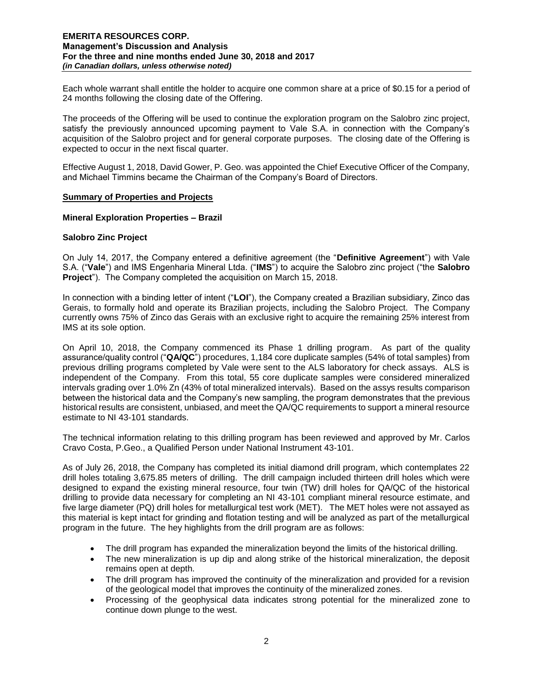Each whole warrant shall entitle the holder to acquire one common share at a price of \$0.15 for a period of 24 months following the closing date of the Offering.

The proceeds of the Offering will be used to continue the exploration program on the Salobro zinc project, satisfy the previously announced upcoming payment to Vale S.A. in connection with the Company's acquisition of the Salobro project and for general corporate purposes. The closing date of the Offering is expected to occur in the next fiscal quarter.

Effective August 1, 2018, David Gower, P. Geo. was appointed the Chief Executive Officer of the Company, and Michael Timmins became the Chairman of the Company's Board of Directors.

#### **Summary of Properties and Projects**

#### **Mineral Exploration Properties – Brazil**

#### **Salobro Zinc Project**

On July 14, 2017, the Company entered a definitive agreement (the "**Definitive Agreement**") with Vale S.A. ("**Vale**") and IMS Engenharia Mineral Ltda. ("**IMS**") to acquire the Salobro zinc project ("the **Salobro Project**"). The Company completed the acquisition on March 15, 2018.

In connection with a binding letter of intent ("**LOI**"), the Company created a Brazilian subsidiary, Zinco das Gerais, to formally hold and operate its Brazilian projects, including the Salobro Project. The Company currently owns 75% of Zinco das Gerais with an exclusive right to acquire the remaining 25% interest from IMS at its sole option.

On April 10, 2018, the Company commenced its Phase 1 drilling program. As part of the quality assurance/quality control ("**QA/QC**") procedures, 1,184 core duplicate samples (54% of total samples) from previous drilling programs completed by Vale were sent to the ALS laboratory for check assays. ALS is independent of the Company. From this total, 55 core duplicate samples were considered mineralized intervals grading over 1.0% Zn (43% of total mineralized intervals). Based on the assys results comparison between the historical data and the Company's new sampling, the program demonstrates that the previous historical results are consistent, unbiased, and meet the QA/QC requirements to support a mineral resource estimate to NI 43-101 standards.

The technical information relating to this drilling program has been reviewed and approved by Mr. Carlos Cravo Costa, P.Geo., a Qualified Person under National Instrument 43-101.

As of July 26, 2018, the Company has completed its initial diamond drill program, which contemplates 22 drill holes totaling 3,675.85 meters of drilling. The drill campaign included thirteen drill holes which were designed to expand the existing mineral resource, four twin (TW) drill holes for QA/QC of the historical drilling to provide data necessary for completing an NI 43-101 compliant mineral resource estimate, and five large diameter (PQ) drill holes for metallurgical test work (MET). The MET holes were not assayed as this material is kept intact for grinding and flotation testing and will be analyzed as part of the metallurgical program in the future. The hey highlights from the drill program are as follows:

- The drill program has expanded the mineralization beyond the limits of the historical drilling.
- The new mineralization is up dip and along strike of the historical mineralization, the deposit remains open at depth.
- The drill program has improved the continuity of the mineralization and provided for a revision of the geological model that improves the continuity of the mineralized zones.
- Processing of the geophysical data indicates strong potential for the mineralized zone to continue down plunge to the west.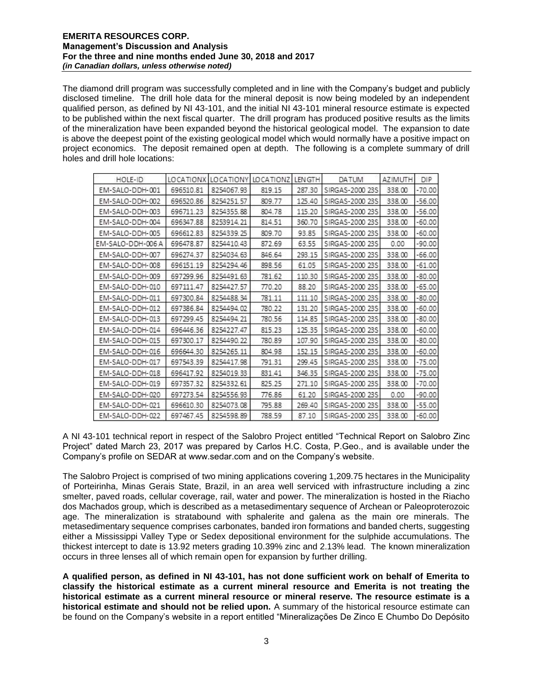The diamond drill program was successfully completed and in line with the Company's budget and publicly disclosed timeline. The drill hole data for the mineral deposit is now being modeled by an independent qualified person, as defined by NI 43-101, and the initial NI 43-101 mineral resource estimate is expected to be published within the next fiscal quarter. The drill program has produced positive results as the limits of the mineralization have been expanded beyond the historical geological model. The expansion to date is above the deepest point of the existing geological model which would normally have a positive impact on project economics. The deposit remained open at depth. The following is a complete summary of drill holes and drill hole locations:

| HOLE-ID           |           | LOCATIONX LOCATIONY LOCATIONZ LENGTH |        |        | <b>DATUM</b>    | <b>AZIMUTH</b> | <b>DIP</b> |
|-------------------|-----------|--------------------------------------|--------|--------|-----------------|----------------|------------|
| EM-SALO-DDH-001   | 696510.81 | 8254067.93                           | 819.15 | 287.30 | SIRGAS-2000 23S | 338.00         | $-70.00$   |
| EM-SALO-DDH-002   | 696520.86 | 8254251.57                           | 809.77 | 125.40 | SIRGAS-2000 23S | 338.00         | $-56.00$   |
| EM-SALO-DDH-003   | 696711.23 | 8254355.88                           | 804.78 | 115.20 | SIRGAS-2000 23S | 338.00         | $-56.00$   |
| EM-SALO-DDH-004   | 696347.88 | 8253914.21                           | 814.51 | 360.70 | SIRGAS-2000 23S | 338.00         | $-60.00$   |
| EM-SALO-DDH-005   | 696612.83 | 8254339.25                           | 809.70 | 93.85  | SIRGAS-2000 23S | 338.00         | $-60.00$   |
| EM-SALO-DDH-006 A | 696478.87 | 8254410.43                           | 872.69 | 63.55  | SIRGAS-2000 23S | 0.00           | $-90.00$   |
| EM-SALO-DDH-007   | 696274.37 | 8254034.63                           | 846.64 | 293.15 | SIRGAS-2000 23S | 338.00         | $-66.00$   |
| EM-SALO-DDH-008   | 696151.19 | 8254294.46                           | 898.56 | 61.05  | SIRGAS-2000 23S | 338.00         | $-61.00$   |
| EM-SALO-DDH-009   | 697299.96 | 8254491.63                           | 781.62 | 110.30 | SIRGAS-2000 23S | 338.00         | $-80.00$   |
| EM-SALO-DDH-010   | 697111.47 | 8254427.57                           | 770.20 | 88.20  | SIRGAS-2000 23S | 338.00         | $-65.00$   |
| EM-SALO-DDH-011   | 697300.84 | 8254488.34                           | 781.11 | 111.10 | SIRGAS-2000 23S | 338.00         | $-80.00$   |
| EM-SALO-DDH-012   | 697386.84 | 8254494.02                           | 780.22 | 131.20 | SIRGAS-2000 23S | 338.00         | $-60.00$   |
| EM-SALO-DDH-013   | 697299.45 | 8254494.21                           | 780.56 | 114.85 | SIRGAS-2000 23S | 338.00         | $-80.00$   |
| EM-SALO-DDH-014   | 696446.36 | 8254227.47                           | 815.23 | 125.35 | SIRGAS-2000 23S | 338.00         | $-60.00$   |
| EM-SALO-DDH-015   | 697300.17 | 8254490.22                           | 780.89 | 107.90 | SIRGAS-2000 23S | 338.00         | $-80.00$   |
| EM-SALO-DDH-016   | 696644.30 | 8254265.11                           | 804.98 | 152.15 | SIRGAS-2000 23S | 338.00         | $-60.00$   |
| EM-SALO-DDH-017   | 697543.39 | 8254417.98                           | 791.31 | 299.45 | SIRGAS-2000 23S | 338.00         | $-75.00$   |
| EM-SALO-DDH-018   | 696417.92 | 8254019.33                           | 831.41 | 346.35 | SIRGAS-2000 23S | 338.00         | $-75.00$   |
| EM-SALO-DDH-019   | 697357.32 | 8254332.61                           | 825.25 | 271.10 | SIRGAS-2000 23S | 338.00         | $-70.00$   |
| EM-SALO-DDH-020   | 697273.54 | 8254556.93                           | 776.86 | 61.20  | SIRGAS-2000 23S | 0.00           | $-90.00$   |
| EM-SALO-DDH-021   | 696610.30 | 8254073.08                           | 795.88 | 269.40 | SIRGAS-2000 23S | 338.00         | $-55.00$   |
| EM-SALO-DDH-022   | 697467.45 | 8254598.89                           | 788.59 | 87.10  | SIRGAS-2000 23S | 338.00         | $-60.00$   |

A NI 43-101 technical report in respect of the Salobro Project entitled "Technical Report on Salobro Zinc Project" dated March 23, 2017 was prepared by Carlos H.C. Costa, P.Geo., and is available under the Company's profile on SEDAR at www.sedar.com and on the Company's website.

The Salobro Project is comprised of two mining applications covering 1,209.75 hectares in the Municipality of Porteirinha, Minas Gerais State, Brazil, in an area well serviced with infrastructure including a zinc smelter, paved roads, cellular coverage, rail, water and power. The mineralization is hosted in the Riacho dos Machados group, which is described as a metasedimentary sequence of Archean or Paleoproterozoic age. The mineralization is stratabound with sphalerite and galena as the main ore minerals. The metasedimentary sequence comprises carbonates, banded iron formations and banded cherts, suggesting either a Mississippi Valley Type or Sedex depositional environment for the sulphide accumulations. The thickest intercept to date is 13.92 meters grading 10.39% zinc and 2.13% lead. The known mineralization occurs in three lenses all of which remain open for expansion by further drilling.

**A qualified person, as defined in NI 43-101, has not done sufficient work on behalf of Emerita to classify the historical estimate as a current mineral resource and Emerita is not treating the historical estimate as a current mineral resource or mineral reserve. The resource estimate is a historical estimate and should not be relied upon.** A summary of the historical resource estimate can be found on the Company's website in a report entitled "Mineralizações De Zinco E Chumbo Do Depósito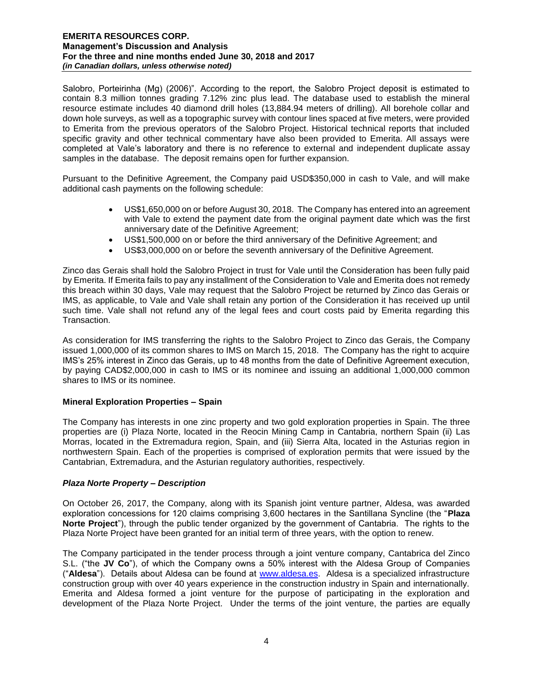Salobro, Porteirinha (Mg) (2006)". According to the report, the Salobro Project deposit is estimated to contain 8.3 million tonnes grading 7.12% zinc plus lead. The database used to establish the mineral resource estimate includes 40 diamond drill holes (13,884.94 meters of drilling). All borehole collar and down hole surveys, as well as a topographic survey with contour lines spaced at five meters, were provided to Emerita from the previous operators of the Salobro Project. Historical technical reports that included specific gravity and other technical commentary have also been provided to Emerita. All assays were completed at Vale's laboratory and there is no reference to external and independent duplicate assay samples in the database. The deposit remains open for further expansion.

Pursuant to the Definitive Agreement, the Company paid USD\$350,000 in cash to Vale, and will make additional cash payments on the following schedule:

- US\$1,650,000 on or before August 30, 2018. The Company has entered into an agreement with Vale to extend the payment date from the original payment date which was the first anniversary date of the Definitive Agreement;
- US\$1,500,000 on or before the third anniversary of the Definitive Agreement; and
- US\$3,000,000 on or before the seventh anniversary of the Definitive Agreement.

Zinco das Gerais shall hold the Salobro Project in trust for Vale until the Consideration has been fully paid by Emerita. If Emerita fails to pay any installment of the Consideration to Vale and Emerita does not remedy this breach within 30 days, Vale may request that the Salobro Project be returned by Zinco das Gerais or IMS, as applicable, to Vale and Vale shall retain any portion of the Consideration it has received up until such time. Vale shall not refund any of the legal fees and court costs paid by Emerita regarding this Transaction.

As consideration for IMS transferring the rights to the Salobro Project to Zinco das Gerais, the Company issued 1,000,000 of its common shares to IMS on March 15, 2018. The Company has the right to acquire IMS's 25% interest in Zinco das Gerais, up to 48 months from the date of Definitive Agreement execution, by paying CAD\$2,000,000 in cash to IMS or its nominee and issuing an additional 1,000,000 common shares to IMS or its nominee.

### **Mineral Exploration Properties – Spain**

The Company has interests in one zinc property and two gold exploration properties in Spain. The three properties are (i) Plaza Norte, located in the Reocin Mining Camp in Cantabria, northern Spain (ii) Las Morras, located in the Extremadura region, Spain, and (iii) Sierra Alta, located in the Asturias region in northwestern Spain. Each of the properties is comprised of exploration permits that were issued by the Cantabrian, Extremadura, and the Asturian regulatory authorities, respectively.

### *Plaza Norte Property – Description*

On October 26, 2017, the Company, along with its Spanish joint venture partner, Aldesa, was awarded exploration concessions for 120 claims comprising 3,600 hectares in the Santillana Syncline (the "**Plaza Norte Project**"), through the public tender organized by the government of Cantabria. The rights to the Plaza Norte Project have been granted for an initial term of three years, with the option to renew.

The Company participated in the tender process through a joint venture company, Cantabrica del Zinco S.L. ("the **JV Co**"), of which the Company owns a 50% interest with the Aldesa Group of Companies ("**Aldesa**"). Details about Aldesa can be found at [www.aldesa.es.](http://www.aldesa.es/) Aldesa is a specialized infrastructure construction group with over 40 years experience in the construction industry in Spain and internationally. Emerita and Aldesa formed a joint venture for the purpose of participating in the exploration and development of the Plaza Norte Project. Under the terms of the joint venture, the parties are equally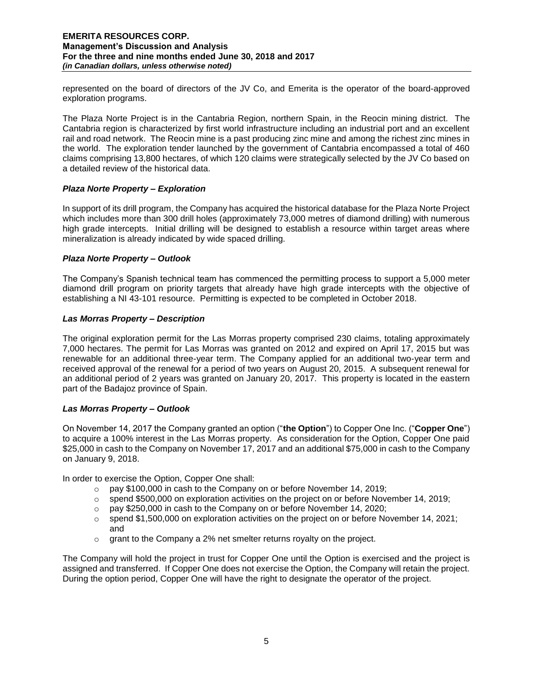represented on the board of directors of the JV Co, and Emerita is the operator of the board-approved exploration programs.

The Plaza Norte Project is in the Cantabria Region, northern Spain, in the Reocin mining district. The Cantabria region is characterized by first world infrastructure including an industrial port and an excellent rail and road network. The Reocin mine is a past producing zinc mine and among the richest zinc mines in the world. The exploration tender launched by the government of Cantabria encompassed a total of 460 claims comprising 13,800 hectares, of which 120 claims were strategically selected by the JV Co based on a detailed review of the historical data.

### *Plaza Norte Property – Exploration*

In support of its drill program, the Company has acquired the historical database for the Plaza Norte Project which includes more than 300 drill holes (approximately 73,000 metres of diamond drilling) with numerous high grade intercepts. Initial drilling will be designed to establish a resource within target areas where mineralization is already indicated by wide spaced drilling.

### *Plaza Norte Property – Outlook*

The Company's Spanish technical team has commenced the permitting process to support a 5,000 meter diamond drill program on priority targets that already have high grade intercepts with the objective of establishing a NI 43-101 resource. Permitting is expected to be completed in October 2018.

# *Las Morras Property – Description*

The original exploration permit for the Las Morras property comprised 230 claims, totaling approximately 7,000 hectares. The permit for Las Morras was granted on 2012 and expired on April 17, 2015 but was renewable for an additional three-year term. The Company applied for an additional two-year term and received approval of the renewal for a period of two years on August 20, 2015. A subsequent renewal for an additional period of 2 years was granted on January 20, 2017. This property is located in the eastern part of the Badajoz province of Spain.

### *Las Morras Property – Outlook*

On November 14, 2017 the Company granted an option ("**the Option**") to Copper One Inc. ("**Copper One**") to acquire a 100% interest in the Las Morras property. As consideration for the Option, Copper One paid \$25,000 in cash to the Company on November 17, 2017 and an additional \$75,000 in cash to the Company on January 9, 2018.

In order to exercise the Option, Copper One shall:

- o pay \$100,000 in cash to the Company on or before November 14, 2019;
- $\circ$  spend \$500,000 on exploration activities on the project on or before November 14, 2019;
- o pay \$250,000 in cash to the Company on or before November 14, 2020;
- $\circ$  spend \$1,500,000 on exploration activities on the project on or before November 14, 2021; and
- $\circ$  grant to the Company a 2% net smelter returns royalty on the project.

The Company will hold the project in trust for Copper One until the Option is exercised and the project is assigned and transferred. If Copper One does not exercise the Option, the Company will retain the project. During the option period, Copper One will have the right to designate the operator of the project.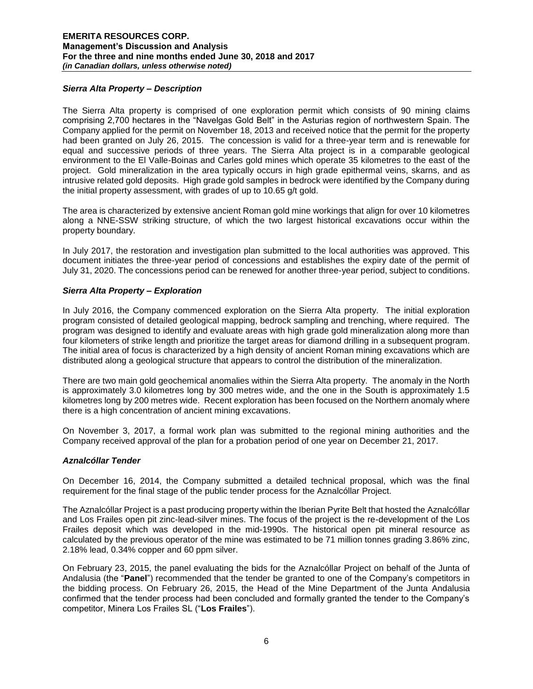### *Sierra Alta Property – Description*

The Sierra Alta property is comprised of one exploration permit which consists of 90 mining claims comprising 2,700 hectares in the "Navelgas Gold Belt" in the Asturias region of northwestern Spain. The Company applied for the permit on November 18, 2013 and received notice that the permit for the property had been granted on July 26, 2015. The concession is valid for a three-year term and is renewable for equal and successive periods of three years. The Sierra Alta project is in a comparable geological environment to the El Valle-Boinas and Carles gold mines which operate 35 kilometres to the east of the project. Gold mineralization in the area typically occurs in high grade epithermal veins, skarns, and as intrusive related gold deposits. High grade gold samples in bedrock were identified by the Company during the initial property assessment, with grades of up to 10.65 g/t gold.

The area is characterized by extensive ancient Roman gold mine workings that align for over 10 kilometres along a NNE-SSW striking structure, of which the two largest historical excavations occur within the property boundary.

In July 2017, the restoration and investigation plan submitted to the local authorities was approved. This document initiates the three-year period of concessions and establishes the expiry date of the permit of July 31, 2020. The concessions period can be renewed for another three-year period, subject to conditions.

# *Sierra Alta Property – Exploration*

In July 2016, the Company commenced exploration on the Sierra Alta property. The initial exploration program consisted of detailed geological mapping, bedrock sampling and trenching, where required. The program was designed to identify and evaluate areas with high grade gold mineralization along more than four kilometers of strike length and prioritize the target areas for diamond drilling in a subsequent program. The initial area of focus is characterized by a high density of ancient Roman mining excavations which are distributed along a geological structure that appears to control the distribution of the mineralization.

There are two main gold geochemical anomalies within the Sierra Alta property. The anomaly in the North is approximately 3.0 kilometres long by 300 metres wide, and the one in the South is approximately 1.5 kilometres long by 200 metres wide. Recent exploration has been focused on the Northern anomaly where there is a high concentration of ancient mining excavations.

On November 3, 2017, a formal work plan was submitted to the regional mining authorities and the Company received approval of the plan for a probation period of one year on December 21, 2017.

### *Aznalcóllar Tender*

On December 16, 2014, the Company submitted a detailed technical proposal, which was the final requirement for the final stage of the public tender process for the Aznalcóllar Project.

The Aznalcóllar Project is a past producing property within the Iberian Pyrite Belt that hosted the Aznalcóllar and Los Frailes open pit zinc-lead-silver mines. The focus of the project is the re-development of the Los Frailes deposit which was developed in the mid-1990s. The historical open pit mineral resource as calculated by the previous operator of the mine was estimated to be 71 million tonnes grading 3.86% zinc, 2.18% lead, 0.34% copper and 60 ppm silver.

On February 23, 2015, the panel evaluating the bids for the Aznalcóllar Project on behalf of the Junta of Andalusia (the "**Panel**") recommended that the tender be granted to one of the Company's competitors in the bidding process. On February 26, 2015, the Head of the Mine Department of the Junta Andalusia confirmed that the tender process had been concluded and formally granted the tender to the Company's competitor, Minera Los Frailes SL ("**Los Frailes**").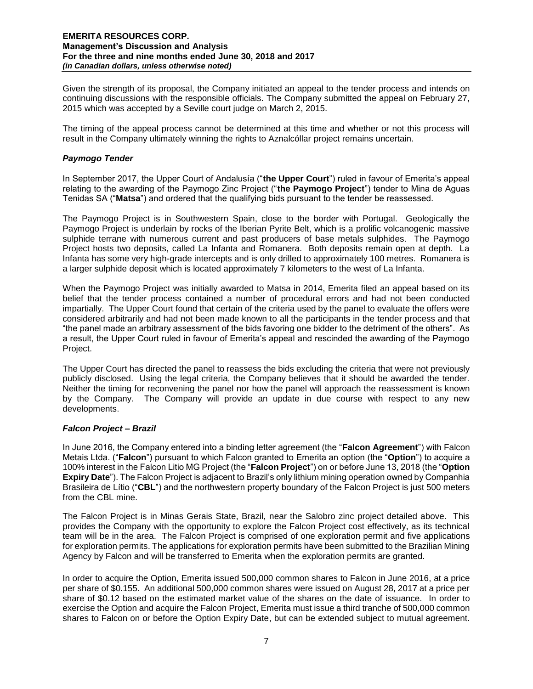Given the strength of its proposal, the Company initiated an appeal to the tender process and intends on continuing discussions with the responsible officials. The Company submitted the appeal on February 27, 2015 which was accepted by a Seville court judge on March 2, 2015.

The timing of the appeal process cannot be determined at this time and whether or not this process will result in the Company ultimately winning the rights to Aznalcóllar project remains uncertain.

### *Paymogo Tender*

In September 2017, the Upper Court of Andalusía ("**the Upper Court**") ruled in favour of Emerita's appeal relating to the awarding of the Paymogo Zinc Project ("**the Paymogo Project**") tender to Mina de Aguas Tenidas SA ("**Matsa**") and ordered that the qualifying bids pursuant to the tender be reassessed.

The Paymogo Project is in Southwestern Spain, close to the border with Portugal. Geologically the Paymogo Project is underlain by rocks of the Iberian Pyrite Belt, which is a prolific volcanogenic massive sulphide terrane with numerous current and past producers of base metals sulphides. The Paymogo Project hosts two deposits, called La Infanta and Romanera. Both deposits remain open at depth. La Infanta has some very high-grade intercepts and is only drilled to approximately 100 metres. Romanera is a larger sulphide deposit which is located approximately 7 kilometers to the west of La Infanta.

When the Paymogo Project was initially awarded to Matsa in 2014, Emerita filed an appeal based on its belief that the tender process contained a number of procedural errors and had not been conducted impartially. The Upper Court found that certain of the criteria used by the panel to evaluate the offers were considered arbitrarily and had not been made known to all the participants in the tender process and that "the panel made an arbitrary assessment of the bids favoring one bidder to the detriment of the others". As a result, the Upper Court ruled in favour of Emerita's appeal and rescinded the awarding of the Paymogo Project.

The Upper Court has directed the panel to reassess the bids excluding the criteria that were not previously publicly disclosed. Using the legal criteria, the Company believes that it should be awarded the tender. Neither the timing for reconvening the panel nor how the panel will approach the reassessment is known by the Company. The Company will provide an update in due course with respect to any new developments.

### *Falcon Project – Brazil*

In June 2016, the Company entered into a binding letter agreement (the "**Falcon Agreement**") with Falcon Metais Ltda. ("**Falcon**") pursuant to which Falcon granted to Emerita an option (the "**Option**") to acquire a 100% interest in the Falcon Litio MG Project (the "**Falcon Project**") on or before June 13, 2018 (the "**Option Expiry Date**"). The Falcon Project is adjacent to Brazil's only lithium mining operation owned by Companhia Brasileira de Lítio ("**CBL**") and the northwestern property boundary of the Falcon Project is just 500 meters from the CBL mine.

The Falcon Project is in Minas Gerais State, Brazil, near the Salobro zinc project detailed above. This provides the Company with the opportunity to explore the Falcon Project cost effectively, as its technical team will be in the area. The Falcon Project is comprised of one exploration permit and five applications for exploration permits. The applications for exploration permits have been submitted to the Brazilian Mining Agency by Falcon and will be transferred to Emerita when the exploration permits are granted.

In order to acquire the Option, Emerita issued 500,000 common shares to Falcon in June 2016, at a price per share of \$0.155. An additional 500,000 common shares were issued on August 28, 2017 at a price per share of \$0.12 based on the estimated market value of the shares on the date of issuance. In order to exercise the Option and acquire the Falcon Project, Emerita must issue a third tranche of 500,000 common shares to Falcon on or before the Option Expiry Date, but can be extended subject to mutual agreement.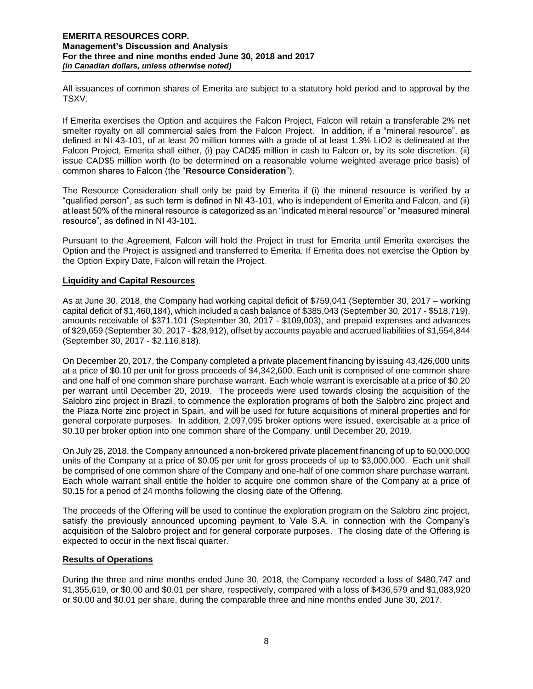All issuances of common shares of Emerita are subject to a statutory hold period and to approval by the TSXV.

If Emerita exercises the Option and acquires the Falcon Project, Falcon will retain a transferable 2% net smelter royalty on all commercial sales from the Falcon Project. In addition, if a "mineral resource", as defined in NI 43-101, of at least 20 million tonnes with a grade of at least 1.3% LiO2 is delineated at the Falcon Project, Emerita shall either, (i) pay CAD\$5 million in cash to Falcon or, by its sole discretion, (ii) issue CAD\$5 million worth (to be determined on a reasonable volume weighted average price basis) of common shares to Falcon (the "**Resource Consideration**").

The Resource Consideration shall only be paid by Emerita if (i) the mineral resource is verified by a "qualified person", as such term is defined in NI 43-101, who is independent of Emerita and Falcon, and (ii) at least 50% of the mineral resource is categorized as an "indicated mineral resource" or "measured mineral resource", as defined in NI 43-101.

Pursuant to the Agreement, Falcon will hold the Project in trust for Emerita until Emerita exercises the Option and the Project is assigned and transferred to Emerita. If Emerita does not exercise the Option by the Option Expiry Date, Falcon will retain the Project.

### **Liquidity and Capital Resources**

As at June 30, 2018, the Company had working capital deficit of \$759,041 (September 30, 2017 – working capital deficit of \$1,460,184), which included a cash balance of \$385,043 (September 30, 2017 - \$518,719), amounts receivable of \$371,101 (September 30, 2017 - \$109,003), and prepaid expenses and advances of \$29,659 (September 30, 2017 - \$28,912), offset by accounts payable and accrued liabilities of \$1,554,844 (September 30, 2017 - \$2,116,818).

On December 20, 2017, the Company completed a private placement financing by issuing 43,426,000 units at a price of \$0.10 per unit for gross proceeds of \$4,342,600. Each unit is comprised of one common share and one half of one common share purchase warrant. Each whole warrant is exercisable at a price of \$0.20 per warrant until December 20, 2019. The proceeds were used towards closing the acquisition of the Salobro zinc project in Brazil, to commence the exploration programs of both the Salobro zinc project and the Plaza Norte zinc project in Spain, and will be used for future acquisitions of mineral properties and for general corporate purposes. In addition, 2,097,095 broker options were issued, exercisable at a price of \$0.10 per broker option into one common share of the Company, until December 20, 2019.

On July 26, 2018, the Company announced a non-brokered private placement financing of up to 60,000,000 units of the Company at a price of \$0.05 per unit for gross proceeds of up to \$3,000,000. Each unit shall be comprised of one common share of the Company and one-half of one common share purchase warrant. Each whole warrant shall entitle the holder to acquire one common share of the Company at a price of \$0.15 for a period of 24 months following the closing date of the Offering.

The proceeds of the Offering will be used to continue the exploration program on the Salobro zinc project, satisfy the previously announced upcoming payment to Vale S.A. in connection with the Company's acquisition of the Salobro project and for general corporate purposes. The closing date of the Offering is expected to occur in the next fiscal quarter.

# **Results of Operations**

During the three and nine months ended June 30, 2018, the Company recorded a loss of \$480,747 and \$1,355,619, or \$0.00 and \$0.01 per share, respectively, compared with a loss of \$436,579 and \$1,083,920 or \$0.00 and \$0.01 per share, during the comparable three and nine months ended June 30, 2017.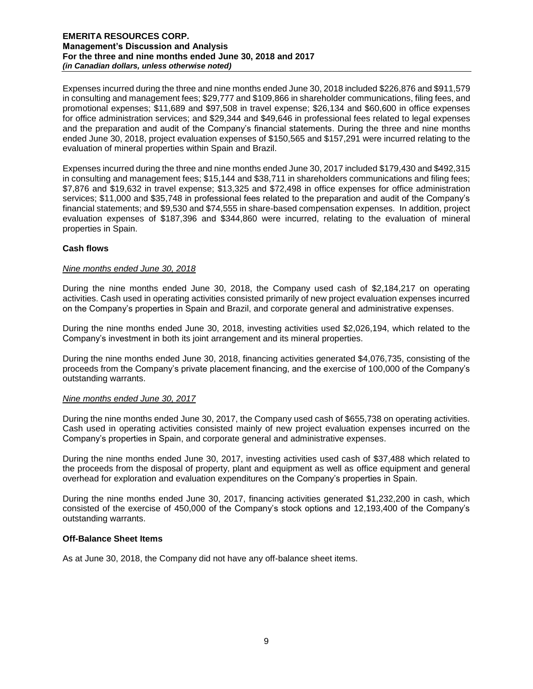Expenses incurred during the three and nine months ended June 30, 2018 included \$226,876 and \$911,579 in consulting and management fees; \$29,777 and \$109,866 in shareholder communications, filing fees, and promotional expenses; \$11,689 and \$97,508 in travel expense; \$26,134 and \$60,600 in office expenses for office administration services; and \$29,344 and \$49,646 in professional fees related to legal expenses and the preparation and audit of the Company's financial statements. During the three and nine months ended June 30, 2018, project evaluation expenses of \$150,565 and \$157,291 were incurred relating to the evaluation of mineral properties within Spain and Brazil.

Expenses incurred during the three and nine months ended June 30, 2017 included \$179,430 and \$492,315 in consulting and management fees; \$15,144 and \$38,711 in shareholders communications and filing fees; \$7,876 and \$19,632 in travel expense; \$13,325 and \$72,498 in office expenses for office administration services; \$11,000 and \$35,748 in professional fees related to the preparation and audit of the Company's financial statements; and \$9,530 and \$74,555 in share-based compensation expenses. In addition, project evaluation expenses of \$187,396 and \$344,860 were incurred, relating to the evaluation of mineral properties in Spain.

# **Cash flows**

### *Nine months ended June 30, 2018*

During the nine months ended June 30, 2018, the Company used cash of \$2,184,217 on operating activities. Cash used in operating activities consisted primarily of new project evaluation expenses incurred on the Company's properties in Spain and Brazil, and corporate general and administrative expenses.

During the nine months ended June 30, 2018, investing activities used \$2,026,194, which related to the Company's investment in both its joint arrangement and its mineral properties.

During the nine months ended June 30, 2018, financing activities generated \$4,076,735, consisting of the proceeds from the Company's private placement financing, and the exercise of 100,000 of the Company's outstanding warrants.

#### *Nine months ended June 30, 2017*

During the nine months ended June 30, 2017, the Company used cash of \$655,738 on operating activities. Cash used in operating activities consisted mainly of new project evaluation expenses incurred on the Company's properties in Spain, and corporate general and administrative expenses.

During the nine months ended June 30, 2017, investing activities used cash of \$37,488 which related to the proceeds from the disposal of property, plant and equipment as well as office equipment and general overhead for exploration and evaluation expenditures on the Company's properties in Spain.

During the nine months ended June 30, 2017, financing activities generated \$1,232,200 in cash, which consisted of the exercise of 450,000 of the Company's stock options and 12,193,400 of the Company's outstanding warrants.

#### **Off-Balance Sheet Items**

As at June 30, 2018, the Company did not have any off-balance sheet items.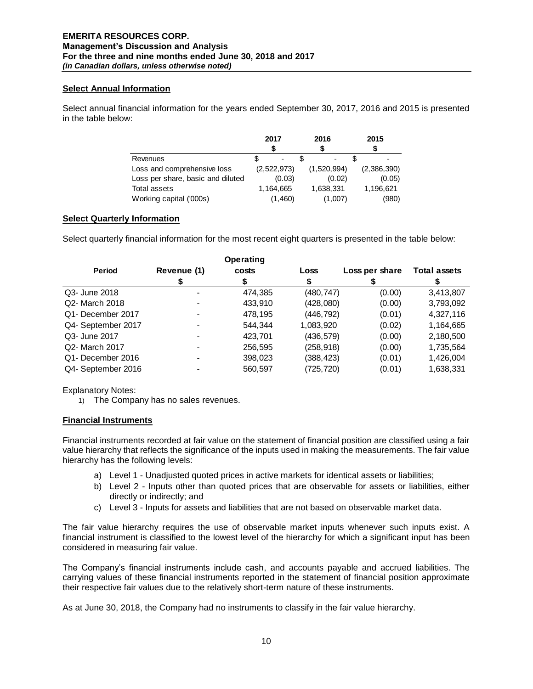### **Select Annual Information**

Select annual financial information for the years ended September 30, 2017, 2016 and 2015 is presented in the table below:

|                                   | 2017        | 2016                     | 2015        |
|-----------------------------------|-------------|--------------------------|-------------|
|                                   |             |                          |             |
| Revenues                          |             | $\overline{\phantom{a}}$ |             |
| Loss and comprehensive loss       | (2,522,973) | (1,520,994)              | (2,386,390) |
| Loss per share, basic and diluted | (0.03)      | (0.02)                   | (0.05)      |
| Total assets                      | 1.164.665   | 1,638,331                | 1,196,621   |
| Working capital ('000s)           | (1,460)     | (1,007)                  | (980)       |

# **Select Quarterly Information**

Select quarterly financial information for the most recent eight quarters is presented in the table below:

|                    |             | <b>Operating</b> |             |                |                     |
|--------------------|-------------|------------------|-------------|----------------|---------------------|
| <b>Period</b>      | Revenue (1) | costs            | <b>Loss</b> | Loss per share | <b>Total assets</b> |
|                    |             |                  |             |                |                     |
| Q3- June 2018      |             | 474,385          | (480, 747)  | (0.00)         | 3,413,807           |
| Q2- March 2018     |             | 433,910          | (428,080)   | (0.00)         | 3,793,092           |
| Q1- December 2017  |             | 478,195          | (446, 792)  | (0.01)         | 4,327,116           |
| Q4- September 2017 |             | 544.344          | 1,083,920   | (0.02)         | 1,164,665           |
| Q3- June 2017      |             | 423,701          | (436, 579)  | (0.00)         | 2,180,500           |
| Q2- March 2017     |             | 256,595          | (258, 918)  | (0.00)         | 1,735,564           |
| Q1- December 2016  |             | 398,023          | (388, 423)  | (0.01)         | 1,426,004           |
| Q4- September 2016 |             | 560,597          | (725, 720)  | (0.01)         | 1,638,331           |

Explanatory Notes:

1) The Company has no sales revenues.

# **Financial Instruments**

Financial instruments recorded at fair value on the statement of financial position are classified using a fair value hierarchy that reflects the significance of the inputs used in making the measurements. The fair value hierarchy has the following levels:

- a) Level 1 Unadjusted quoted prices in active markets for identical assets or liabilities;
- b) Level 2 Inputs other than quoted prices that are observable for assets or liabilities, either directly or indirectly; and
- c) Level 3 Inputs for assets and liabilities that are not based on observable market data.

The fair value hierarchy requires the use of observable market inputs whenever such inputs exist. A financial instrument is classified to the lowest level of the hierarchy for which a significant input has been considered in measuring fair value.

The Company's financial instruments include cash, and accounts payable and accrued liabilities. The carrying values of these financial instruments reported in the statement of financial position approximate their respective fair values due to the relatively short-term nature of these instruments.

As at June 30, 2018, the Company had no instruments to classify in the fair value hierarchy.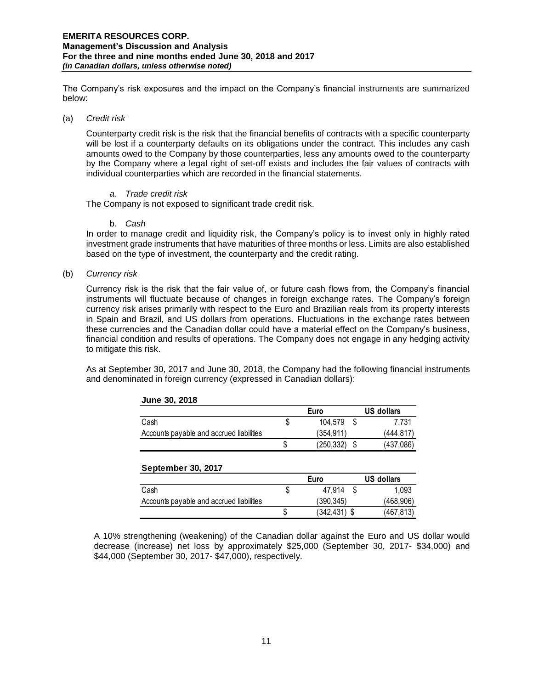The Company's risk exposures and the impact on the Company's financial instruments are summarized below:

#### (a) *Credit risk*

Counterparty credit risk is the risk that the financial benefits of contracts with a specific counterparty will be lost if a counterparty defaults on its obligations under the contract. This includes any cash amounts owed to the Company by those counterparties, less any amounts owed to the counterparty by the Company where a legal right of set-off exists and includes the fair values of contracts with individual counterparties which are recorded in the financial statements.

#### *a. Trade credit risk*

The Company is not exposed to significant trade credit risk.

#### b. *Cash*

In order to manage credit and liquidity risk, the Company's policy is to invest only in highly rated investment grade instruments that have maturities of three months or less. Limits are also established based on the type of investment, the counterparty and the credit rating.

#### (b) *Currency risk*

Currency risk is the risk that the fair value of, or future cash flows from, the Company's financial instruments will fluctuate because of changes in foreign exchange rates. The Company's foreign currency risk arises primarily with respect to the Euro and Brazilian reals from its property interests in Spain and Brazil, and US dollars from operations. Fluctuations in the exchange rates between these currencies and the Canadian dollar could have a material effect on the Company's business, financial condition and results of operations. The Company does not engage in any hedging activity to mitigate this risk.

As at September 30, 2017 and June 30, 2018, the Company had the following financial instruments and denominated in foreign currency (expressed in Canadian dollars):

|                                          | Euro |            |  | US dollars |  |
|------------------------------------------|------|------------|--|------------|--|
| Cash                                     | S    | 104.579    |  | 7.731      |  |
| Accounts payable and accrued liabilities |      | (354.911)  |  | (444.817)  |  |
|                                          |      | (250, 332) |  | (437,086)  |  |

# **September 30, 2017**

**June 30, 2018**

|                                          |   | Euro           | US dollars |
|------------------------------------------|---|----------------|------------|
| Cash                                     | S | 47.914         | 1.093      |
| Accounts payable and accrued liabilities |   | (390.345)      | (468, 906) |
|                                          |   | $(342.431)$ \$ | (467, 813) |

A 10% strengthening (weakening) of the Canadian dollar against the Euro and US dollar would decrease (increase) net loss by approximately \$25,000 (September 30, 2017- \$34,000) and \$44,000 (September 30, 2017- \$47,000), respectively.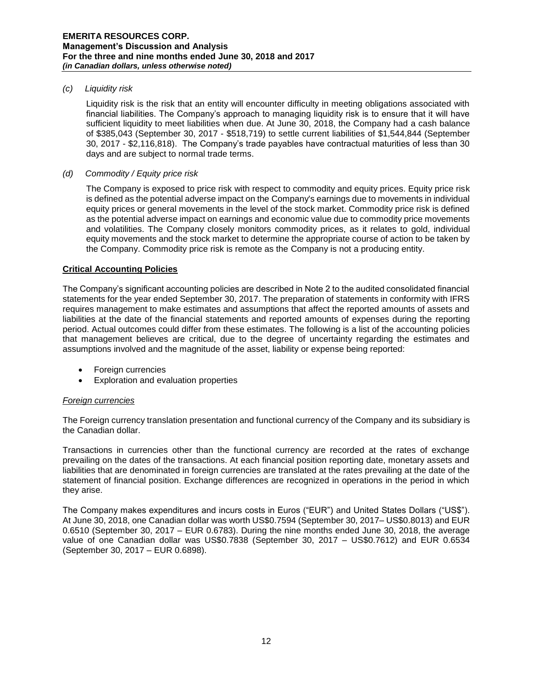#### *(c) Liquidity risk*

Liquidity risk is the risk that an entity will encounter difficulty in meeting obligations associated with financial liabilities. The Company's approach to managing liquidity risk is to ensure that it will have sufficient liquidity to meet liabilities when due. At June 30, 2018, the Company had a cash balance of \$385,043 (September 30, 2017 - \$518,719) to settle current liabilities of \$1,544,844 (September 30, 2017 - \$2,116,818). The Company's trade payables have contractual maturities of less than 30 days and are subject to normal trade terms.

#### *(d) Commodity / Equity price risk*

The Company is exposed to price risk with respect to commodity and equity prices. Equity price risk is defined as the potential adverse impact on the Company's earnings due to movements in individual equity prices or general movements in the level of the stock market. Commodity price risk is defined as the potential adverse impact on earnings and economic value due to commodity price movements and volatilities. The Company closely monitors commodity prices, as it relates to gold, individual equity movements and the stock market to determine the appropriate course of action to be taken by the Company. Commodity price risk is remote as the Company is not a producing entity.

### **Critical Accounting Policies**

The Company's significant accounting policies are described in Note 2 to the audited consolidated financial statements for the year ended September 30, 2017. The preparation of statements in conformity with IFRS requires management to make estimates and assumptions that affect the reported amounts of assets and liabilities at the date of the financial statements and reported amounts of expenses during the reporting period. Actual outcomes could differ from these estimates. The following is a list of the accounting policies that management believes are critical, due to the degree of uncertainty regarding the estimates and assumptions involved and the magnitude of the asset, liability or expense being reported:

- Foreign currencies
- Exploration and evaluation properties

### *Foreign currencies*

The Foreign currency translation presentation and functional currency of the Company and its subsidiary is the Canadian dollar.

Transactions in currencies other than the functional currency are recorded at the rates of exchange prevailing on the dates of the transactions. At each financial position reporting date, monetary assets and liabilities that are denominated in foreign currencies are translated at the rates prevailing at the date of the statement of financial position. Exchange differences are recognized in operations in the period in which they arise.

The Company makes expenditures and incurs costs in Euros ("EUR") and United States Dollars ("US\$"). At June 30, 2018, one Canadian dollar was worth US\$0.7594 (September 30, 2017– US\$0.8013) and EUR 0.6510 (September 30, 2017 – EUR 0.6783). During the nine months ended June 30, 2018, the average value of one Canadian dollar was US\$0.7838 (September 30, 2017 – US\$0.7612) and EUR 0.6534 (September 30, 2017 – EUR 0.6898).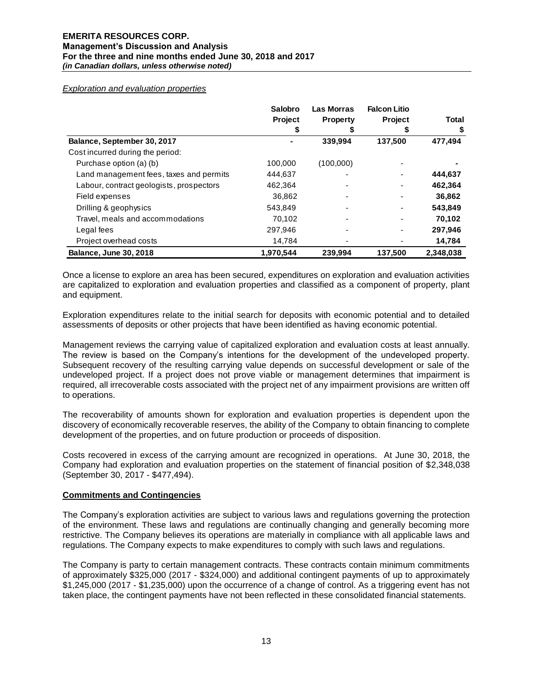#### *Exploration and evaluation properties*

|                                          | Salobro<br><b>Project</b> | <b>Las Morras</b><br><b>Property</b> | <b>Falcon Litio</b><br>Project | <b>Total</b> |
|------------------------------------------|---------------------------|--------------------------------------|--------------------------------|--------------|
| Balance, September 30, 2017              |                           | 339,994                              | 137,500                        | 477,494      |
| Cost incurred during the period:         |                           |                                      |                                |              |
| Purchase option (a) (b)                  | 100,000                   | (100,000)                            |                                |              |
| Land management fees, taxes and permits  | 444,637                   |                                      |                                | 444,637      |
| Labour, contract geologists, prospectors | 462,364                   |                                      |                                | 462,364      |
| Field expenses                           | 36.862                    | -                                    |                                | 36,862       |
| Drilling & geophysics                    | 543,849                   |                                      |                                | 543,849      |
| Travel, meals and accommodations         | 70,102                    |                                      |                                | 70,102       |
| Legal fees                               | 297,946                   | -                                    |                                | 297,946      |
| Project overhead costs                   | 14.784                    |                                      |                                | 14,784       |
| <b>Balance, June 30, 2018</b>            | 1,970,544                 | 239,994                              | 137,500                        | 2,348,038    |

Once a license to explore an area has been secured, expenditures on exploration and evaluation activities are capitalized to exploration and evaluation properties and classified as a component of property, plant and equipment.

Exploration expenditures relate to the initial search for deposits with economic potential and to detailed assessments of deposits or other projects that have been identified as having economic potential.

Management reviews the carrying value of capitalized exploration and evaluation costs at least annually. The review is based on the Company's intentions for the development of the undeveloped property. Subsequent recovery of the resulting carrying value depends on successful development or sale of the undeveloped project. If a project does not prove viable or management determines that impairment is required, all irrecoverable costs associated with the project net of any impairment provisions are written off to operations.

The recoverability of amounts shown for exploration and evaluation properties is dependent upon the discovery of economically recoverable reserves, the ability of the Company to obtain financing to complete development of the properties, and on future production or proceeds of disposition.

Costs recovered in excess of the carrying amount are recognized in operations. At June 30, 2018, the Company had exploration and evaluation properties on the statement of financial position of \$2,348,038 (September 30, 2017 - \$477,494).

#### **Commitments and Contingencies**

The Company's exploration activities are subject to various laws and regulations governing the protection of the environment. These laws and regulations are continually changing and generally becoming more restrictive. The Company believes its operations are materially in compliance with all applicable laws and regulations. The Company expects to make expenditures to comply with such laws and regulations.

The Company is party to certain management contracts. These contracts contain minimum commitments of approximately \$325,000 (2017 - \$324,000) and additional contingent payments of up to approximately \$1,245,000 (2017 - \$1,235,000) upon the occurrence of a change of control. As a triggering event has not taken place, the contingent payments have not been reflected in these consolidated financial statements.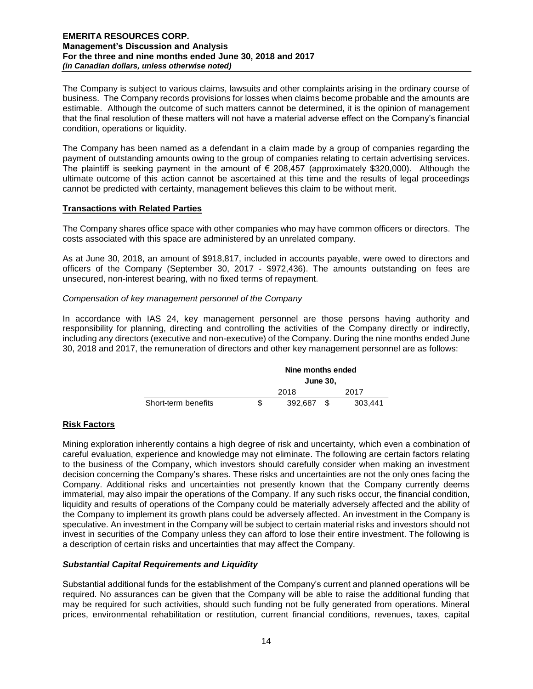The Company is subject to various claims, lawsuits and other complaints arising in the ordinary course of business. The Company records provisions for losses when claims become probable and the amounts are estimable. Although the outcome of such matters cannot be determined, it is the opinion of management that the final resolution of these matters will not have a material adverse effect on the Company's financial condition, operations or liquidity.

The Company has been named as a defendant in a claim made by a group of companies regarding the payment of outstanding amounts owing to the group of companies relating to certain advertising services. The plaintiff is seeking payment in the amount of  $\epsilon$  208,457 (approximately \$320,000). Although the ultimate outcome of this action cannot be ascertained at this time and the results of legal proceedings cannot be predicted with certainty, management believes this claim to be without merit.

### **Transactions with Related Parties**

The Company shares office space with other companies who may have common officers or directors. The costs associated with this space are administered by an unrelated company.

As at June 30, 2018, an amount of \$918,817, included in accounts payable, were owed to directors and officers of the Company (September 30, 2017 - \$972,436). The amounts outstanding on fees are unsecured, non-interest bearing, with no fixed terms of repayment.

### *Compensation of key management personnel of the Company*

In accordance with IAS 24, key management personnel are those persons having authority and responsibility for planning, directing and controlling the activities of the Company directly or indirectly, including any directors (executive and non-executive) of the Company. During the nine months ended June 30, 2018 and 2017, the remuneration of directors and other key management personnel are as follows:

|                     | Nine months ended |                 |    |         |  |
|---------------------|-------------------|-----------------|----|---------|--|
|                     |                   | <b>June 30,</b> |    |         |  |
|                     | 2018              |                 |    | 2017    |  |
| Short-term benefits |                   | 392.687         | £. | 303.441 |  |

# **Risk Factors**

Mining exploration inherently contains a high degree of risk and uncertainty, which even a combination of careful evaluation, experience and knowledge may not eliminate. The following are certain factors relating to the business of the Company, which investors should carefully consider when making an investment decision concerning the Company's shares. These risks and uncertainties are not the only ones facing the Company. Additional risks and uncertainties not presently known that the Company currently deems immaterial, may also impair the operations of the Company. If any such risks occur, the financial condition, liquidity and results of operations of the Company could be materially adversely affected and the ability of the Company to implement its growth plans could be adversely affected. An investment in the Company is speculative. An investment in the Company will be subject to certain material risks and investors should not invest in securities of the Company unless they can afford to lose their entire investment. The following is a description of certain risks and uncertainties that may affect the Company.

# *Substantial Capital Requirements and Liquidity*

Substantial additional funds for the establishment of the Company's current and planned operations will be required. No assurances can be given that the Company will be able to raise the additional funding that may be required for such activities, should such funding not be fully generated from operations. Mineral prices, environmental rehabilitation or restitution, current financial conditions, revenues, taxes, capital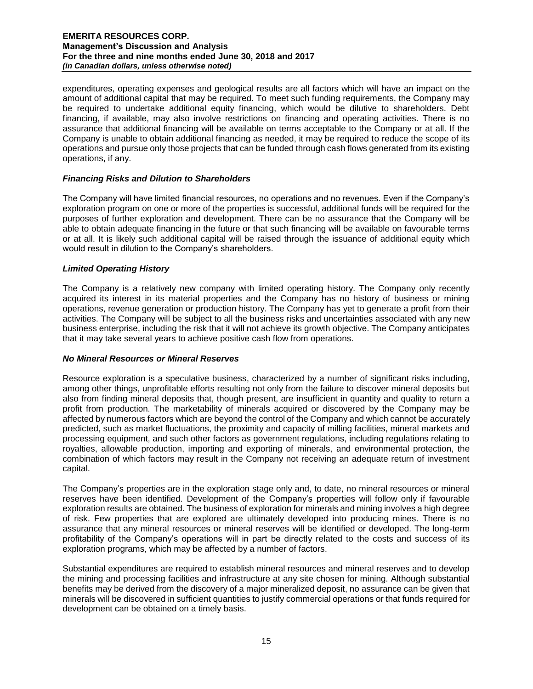expenditures, operating expenses and geological results are all factors which will have an impact on the amount of additional capital that may be required. To meet such funding requirements, the Company may be required to undertake additional equity financing, which would be dilutive to shareholders. Debt financing, if available, may also involve restrictions on financing and operating activities. There is no assurance that additional financing will be available on terms acceptable to the Company or at all. If the Company is unable to obtain additional financing as needed, it may be required to reduce the scope of its operations and pursue only those projects that can be funded through cash flows generated from its existing operations, if any.

### *Financing Risks and Dilution to Shareholders*

The Company will have limited financial resources, no operations and no revenues. Even if the Company's exploration program on one or more of the properties is successful, additional funds will be required for the purposes of further exploration and development. There can be no assurance that the Company will be able to obtain adequate financing in the future or that such financing will be available on favourable terms or at all. It is likely such additional capital will be raised through the issuance of additional equity which would result in dilution to the Company's shareholders.

# *Limited Operating History*

The Company is a relatively new company with limited operating history. The Company only recently acquired its interest in its material properties and the Company has no history of business or mining operations, revenue generation or production history. The Company has yet to generate a profit from their activities. The Company will be subject to all the business risks and uncertainties associated with any new business enterprise, including the risk that it will not achieve its growth objective. The Company anticipates that it may take several years to achieve positive cash flow from operations.

### *No Mineral Resources or Mineral Reserves*

Resource exploration is a speculative business, characterized by a number of significant risks including, among other things, unprofitable efforts resulting not only from the failure to discover mineral deposits but also from finding mineral deposits that, though present, are insufficient in quantity and quality to return a profit from production. The marketability of minerals acquired or discovered by the Company may be affected by numerous factors which are beyond the control of the Company and which cannot be accurately predicted, such as market fluctuations, the proximity and capacity of milling facilities, mineral markets and processing equipment, and such other factors as government regulations, including regulations relating to royalties, allowable production, importing and exporting of minerals, and environmental protection, the combination of which factors may result in the Company not receiving an adequate return of investment capital.

The Company's properties are in the exploration stage only and, to date, no mineral resources or mineral reserves have been identified. Development of the Company's properties will follow only if favourable exploration results are obtained. The business of exploration for minerals and mining involves a high degree of risk. Few properties that are explored are ultimately developed into producing mines. There is no assurance that any mineral resources or mineral reserves will be identified or developed. The long-term profitability of the Company's operations will in part be directly related to the costs and success of its exploration programs, which may be affected by a number of factors.

Substantial expenditures are required to establish mineral resources and mineral reserves and to develop the mining and processing facilities and infrastructure at any site chosen for mining. Although substantial benefits may be derived from the discovery of a major mineralized deposit, no assurance can be given that minerals will be discovered in sufficient quantities to justify commercial operations or that funds required for development can be obtained on a timely basis.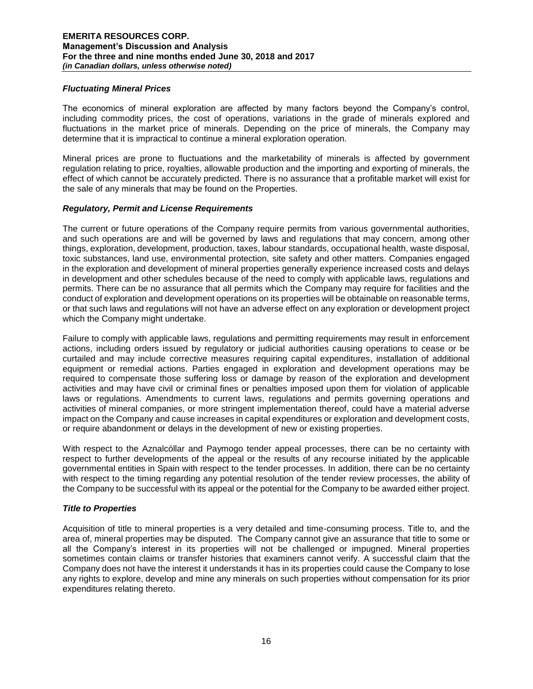#### *Fluctuating Mineral Prices*

The economics of mineral exploration are affected by many factors beyond the Company's control, including commodity prices, the cost of operations, variations in the grade of minerals explored and fluctuations in the market price of minerals. Depending on the price of minerals, the Company may determine that it is impractical to continue a mineral exploration operation.

Mineral prices are prone to fluctuations and the marketability of minerals is affected by government regulation relating to price, royalties, allowable production and the importing and exporting of minerals, the effect of which cannot be accurately predicted. There is no assurance that a profitable market will exist for the sale of any minerals that may be found on the Properties.

#### *Regulatory, Permit and License Requirements*

The current or future operations of the Company require permits from various governmental authorities, and such operations are and will be governed by laws and regulations that may concern, among other things, exploration, development, production, taxes, labour standards, occupational health, waste disposal, toxic substances, land use, environmental protection, site safety and other matters. Companies engaged in the exploration and development of mineral properties generally experience increased costs and delays in development and other schedules because of the need to comply with applicable laws, regulations and permits. There can be no assurance that all permits which the Company may require for facilities and the conduct of exploration and development operations on its properties will be obtainable on reasonable terms, or that such laws and regulations will not have an adverse effect on any exploration or development project which the Company might undertake.

Failure to comply with applicable laws, regulations and permitting requirements may result in enforcement actions, including orders issued by regulatory or judicial authorities causing operations to cease or be curtailed and may include corrective measures requiring capital expenditures, installation of additional equipment or remedial actions. Parties engaged in exploration and development operations may be required to compensate those suffering loss or damage by reason of the exploration and development activities and may have civil or criminal fines or penalties imposed upon them for violation of applicable laws or regulations. Amendments to current laws, regulations and permits governing operations and activities of mineral companies, or more stringent implementation thereof, could have a material adverse impact on the Company and cause increases in capital expenditures or exploration and development costs, or require abandonment or delays in the development of new or existing properties.

With respect to the Aznalcóllar and Paymogo tender appeal processes, there can be no certainty with respect to further developments of the appeal or the results of any recourse initiated by the applicable governmental entities in Spain with respect to the tender processes. In addition, there can be no certainty with respect to the timing regarding any potential resolution of the tender review processes, the ability of the Company to be successful with its appeal or the potential for the Company to be awarded either project.

#### *Title to Properties*

Acquisition of title to mineral properties is a very detailed and time-consuming process. Title to, and the area of, mineral properties may be disputed. The Company cannot give an assurance that title to some or all the Company's interest in its properties will not be challenged or impugned. Mineral properties sometimes contain claims or transfer histories that examiners cannot verify. A successful claim that the Company does not have the interest it understands it has in its properties could cause the Company to lose any rights to explore, develop and mine any minerals on such properties without compensation for its prior expenditures relating thereto.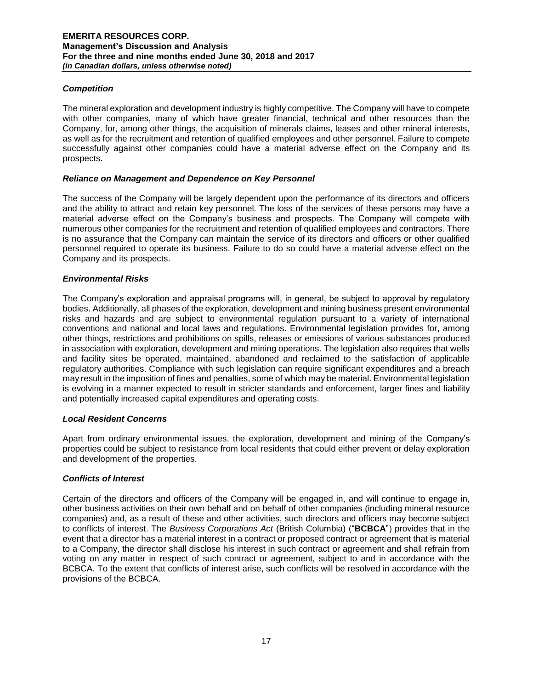# *Competition*

The mineral exploration and development industry is highly competitive. The Company will have to compete with other companies, many of which have greater financial, technical and other resources than the Company, for, among other things, the acquisition of minerals claims, leases and other mineral interests, as well as for the recruitment and retention of qualified employees and other personnel. Failure to compete successfully against other companies could have a material adverse effect on the Company and its prospects.

# *Reliance on Management and Dependence on Key Personnel*

The success of the Company will be largely dependent upon the performance of its directors and officers and the ability to attract and retain key personnel. The loss of the services of these persons may have a material adverse effect on the Company's business and prospects. The Company will compete with numerous other companies for the recruitment and retention of qualified employees and contractors. There is no assurance that the Company can maintain the service of its directors and officers or other qualified personnel required to operate its business. Failure to do so could have a material adverse effect on the Company and its prospects.

# *Environmental Risks*

The Company's exploration and appraisal programs will, in general, be subject to approval by regulatory bodies. Additionally, all phases of the exploration, development and mining business present environmental risks and hazards and are subject to environmental regulation pursuant to a variety of international conventions and national and local laws and regulations. Environmental legislation provides for, among other things, restrictions and prohibitions on spills, releases or emissions of various substances produced in association with exploration, development and mining operations. The legislation also requires that wells and facility sites be operated, maintained, abandoned and reclaimed to the satisfaction of applicable regulatory authorities. Compliance with such legislation can require significant expenditures and a breach may result in the imposition of fines and penalties, some of which may be material. Environmental legislation is evolving in a manner expected to result in stricter standards and enforcement, larger fines and liability and potentially increased capital expenditures and operating costs.

### *Local Resident Concerns*

Apart from ordinary environmental issues, the exploration, development and mining of the Company's properties could be subject to resistance from local residents that could either prevent or delay exploration and development of the properties.

# *Conflicts of Interest*

Certain of the directors and officers of the Company will be engaged in, and will continue to engage in, other business activities on their own behalf and on behalf of other companies (including mineral resource companies) and, as a result of these and other activities, such directors and officers may become subject to conflicts of interest. The *Business Corporations Act* (British Columbia) ("**BCBCA**") provides that in the event that a director has a material interest in a contract or proposed contract or agreement that is material to a Company, the director shall disclose his interest in such contract or agreement and shall refrain from voting on any matter in respect of such contract or agreement, subject to and in accordance with the BCBCA. To the extent that conflicts of interest arise, such conflicts will be resolved in accordance with the provisions of the BCBCA.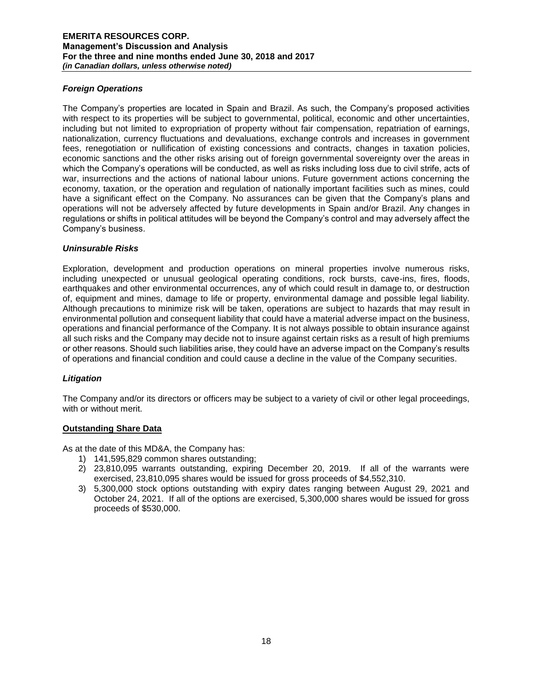# *Foreign Operations*

The Company's properties are located in Spain and Brazil. As such, the Company's proposed activities with respect to its properties will be subject to governmental, political, economic and other uncertainties, including but not limited to expropriation of property without fair compensation, repatriation of earnings, nationalization, currency fluctuations and devaluations, exchange controls and increases in government fees, renegotiation or nullification of existing concessions and contracts, changes in taxation policies, economic sanctions and the other risks arising out of foreign governmental sovereignty over the areas in which the Company's operations will be conducted, as well as risks including loss due to civil strife, acts of war, insurrections and the actions of national labour unions. Future government actions concerning the economy, taxation, or the operation and regulation of nationally important facilities such as mines, could have a significant effect on the Company. No assurances can be given that the Company's plans and operations will not be adversely affected by future developments in Spain and/or Brazil. Any changes in regulations or shifts in political attitudes will be beyond the Company's control and may adversely affect the Company's business.

### *Uninsurable Risks*

Exploration, development and production operations on mineral properties involve numerous risks, including unexpected or unusual geological operating conditions, rock bursts, cave-ins, fires, floods, earthquakes and other environmental occurrences, any of which could result in damage to, or destruction of, equipment and mines, damage to life or property, environmental damage and possible legal liability. Although precautions to minimize risk will be taken, operations are subject to hazards that may result in environmental pollution and consequent liability that could have a material adverse impact on the business, operations and financial performance of the Company. It is not always possible to obtain insurance against all such risks and the Company may decide not to insure against certain risks as a result of high premiums or other reasons. Should such liabilities arise, they could have an adverse impact on the Company's results of operations and financial condition and could cause a decline in the value of the Company securities.

# *Litigation*

The Company and/or its directors or officers may be subject to a variety of civil or other legal proceedings, with or without merit.

### **Outstanding Share Data**

As at the date of this MD&A, the Company has:

- 1) 141,595,829 common shares outstanding;
- 2) 23,810,095 warrants outstanding, expiring December 20, 2019. If all of the warrants were exercised, 23,810,095 shares would be issued for gross proceeds of \$4,552,310.
- 3) 5,300,000 stock options outstanding with expiry dates ranging between August 29, 2021 and October 24, 2021. If all of the options are exercised, 5,300,000 shares would be issued for gross proceeds of \$530,000.